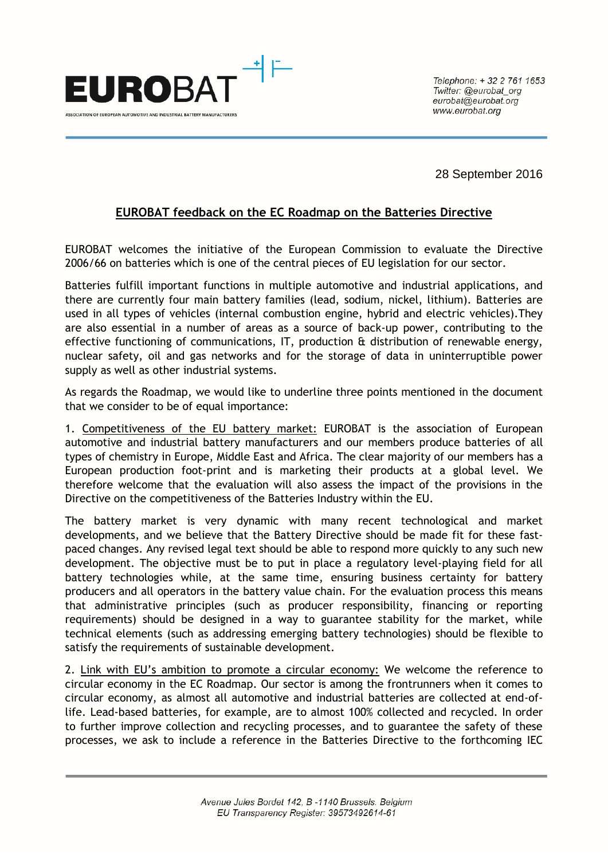

Telephone: +32 2 761 1653 Twitter: @eurobat org  $eurobat@eurobat.$ www.eurobat.org

28 September 2016

## **EUROBAT feedback on the EC Roadmap on the Batteries Directive**

EUROBAT welcomes the initiative of the European Commission to evaluate the Directive 2006/66 on batteries which is one of the central pieces of EU legislation for our sector.

Batteries fulfill important functions in multiple automotive and industrial applications, and there are currently four main battery families (lead, sodium, nickel, lithium). Batteries are used in all types of vehicles (internal combustion engine, hybrid and electric vehicles).They are also essential in a number of areas as a source of back-up power, contributing to the effective functioning of communications, IT, production & distribution of renewable energy, nuclear safety, oil and gas networks and for the storage of data in uninterruptible power supply as well as other industrial systems.

As regards the Roadmap, we would like to underline three points mentioned in the document that we consider to be of equal importance:

1. Competitiveness of the EU battery market: EUROBAT is the association of European automotive and industrial battery manufacturers and our members produce batteries of all types of chemistry in Europe, Middle East and Africa. The clear majority of our members has a European production foot-print and is marketing their products at a global level. We therefore welcome that the evaluation will also assess the impact of the provisions in the Directive on the competitiveness of the Batteries Industry within the EU.

The battery market is very dynamic with many recent technological and market developments, and we believe that the Battery Directive should be made fit for these fastpaced changes. Any revised legal text should be able to respond more quickly to any such new development. The objective must be to put in place a regulatory level-playing field for all battery technologies while, at the same time, ensuring business certainty for battery producers and all operators in the battery value chain. For the evaluation process this means that administrative principles (such as producer responsibility, financing or reporting requirements) should be designed in a way to guarantee stability for the market, while technical elements (such as addressing emerging battery technologies) should be flexible to satisfy the requirements of sustainable development.

2. Link with EU's ambition to promote a circular economy: We welcome the reference to circular economy in the EC Roadmap. Our sector is among the frontrunners when it comes to circular economy, as almost all automotive and industrial batteries are collected at end-oflife. Lead-based batteries, for example, are to almost 100% collected and recycled. In order to further improve collection and recycling processes, and to guarantee the safety of these processes, we ask to include a reference in the Batteries Directive to the forthcoming IEC